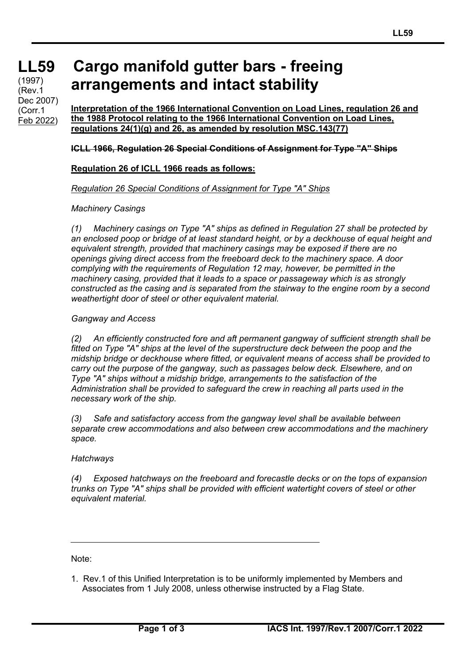**LL59** (1997) (Rev.1 Dec 2007) (Corr.1 Feb 2022)

# **Cargo manifold gutter bars - freeing arrangements and intact stability**

**Interpretation of the 1966 International Convention on Load Lines, regulation 26 and the 1988 Protocol relating to the 1966 International Convention on Load Lines, regulations 24(1)(g) and 26, as amended by resolution MSC.143(77)**

#### **ICLL 1966, Regulation 26 Special Conditions of Assignment for Type "A" Ships**

#### **Regulation 26 of ICLL 1966 reads as follows:**

#### *Regulation 26 Special Conditions of Assignment for Type "A" Ships*

#### *Machinery Casings*

*(1) Machinery casings on Type "A" ships as defined in Regulation 27 shall be protected by an enclosed poop or bridge of at least standard height, or by a deckhouse of equal height and equivalent strength, provided that machinery casings may be exposed if there are no openings giving direct access from the freeboard deck to the machinery space. A door complying with the requirements of Regulation 12 may, however, be permitted in the machinery casing, provided that it leads to a space or passageway which is as strongly constructed as the casing and is separated from the stairway to the engine room by a second weathertight door of steel or other equivalent material.*

#### *Gangway and Access*

*(2) An efficiently constructed fore and aft permanent gangway of sufficient strength shall be fitted on Type "A" ships at the level of the superstructure deck between the poop and the midship bridge or deckhouse where fitted, or equivalent means of access shall be provided to carry out the purpose of the gangway, such as passages below deck. Elsewhere, and on Type "A" ships without a midship bridge, arrangements to the satisfaction of the Administration shall be provided to safeguard the crew in reaching all parts used in the necessary work of the ship.*

*(3) Safe and satisfactory access from the gangway level shall be available between separate crew accommodations and also between crew accommodations and the machinery space.*

#### *Hatchways*

*(4) Exposed hatchways on the freeboard and forecastle decks or on the tops of expansion trunks on Type "A" ships shall be provided with efficient watertight covers of steel or other equivalent material.*

Note:

1. Rev.1 of this Unified Interpretation is to be uniformly implemented by Members and Associates from 1 July 2008, unless otherwise instructed by a Flag State.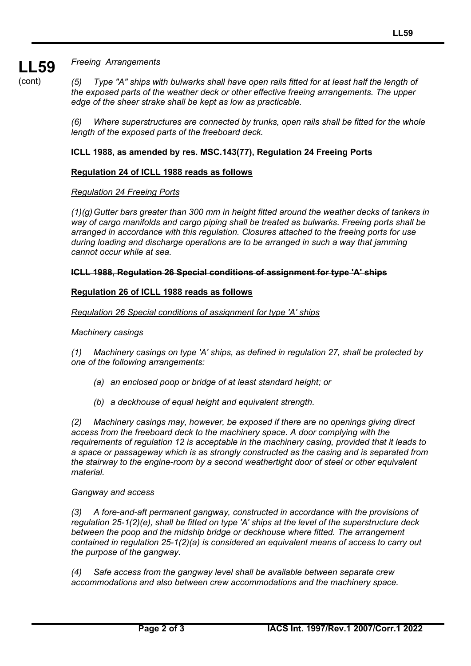*Freeing Arrangements*

(cont)

**LL59**

*(5) Type "A" ships with bulwarks shall have open rails fitted for at least half the length of the exposed parts of the weather deck or other effective freeing arrangements. The upper edge of the sheer strake shall be kept as low as practicable.*

*(6) Where superstructures are connected by trunks, open rails shall be fitted for the whole length of the exposed parts of the freeboard deck.*

# **ICLL 1988, as amended by res. MSC.143(77), Regulation 24 Freeing Ports**

# **Regulation 24 of ICLL 1988 reads as follows**

## *Regulation 24 Freeing Ports*

*(1)(g)Gutter bars greater than 300 mm in height fitted around the weather decks of tankers in way of cargo manifolds and cargo piping shall be treated as bulwarks. Freeing ports shall be arranged in accordance with this regulation. Closures attached to the freeing ports for use during loading and discharge operations are to be arranged in such a way that jamming cannot occur while at sea.*

## **ICLL 1988, Regulation 26 Special conditions of assignment for type 'A' ships**

# **Regulation 26 of ICLL 1988 reads as follows**

# *Regulation 26 Special conditions of assignment for type 'A' ships*

## *Machinery casings*

*(1) Machinery casings on type 'A' ships, as defined in regulation 27, shall be protected by one of the following arrangements:*

- *(a) an enclosed poop or bridge of at least standard height; or*
- *(b) a deckhouse of equal height and equivalent strength.*

*(2) Machinery casings may, however, be exposed if there are no openings giving direct access from the freeboard deck to the machinery space. A door complying with the requirements of regulation 12 is acceptable in the machinery casing, provided that it leads to a space or passageway which is as strongly constructed as the casing and is separated from the stairway to the engine-room by a second weathertight door of steel or other equivalent material.*

## *Gangway and access*

*(3) A fore-and-aft permanent gangway, constructed in accordance with the provisions of regulation 25-1(2)(e), shall be fitted on type 'A' ships at the level of the superstructure deck between the poop and the midship bridge or deckhouse where fitted. The arrangement contained in regulation 25-1(2)(a) is considered an equivalent means of access to carry out the purpose of the gangway.*

*(4) Safe access from the gangway level shall be available between separate crew accommodations and also between crew accommodations and the machinery space.*